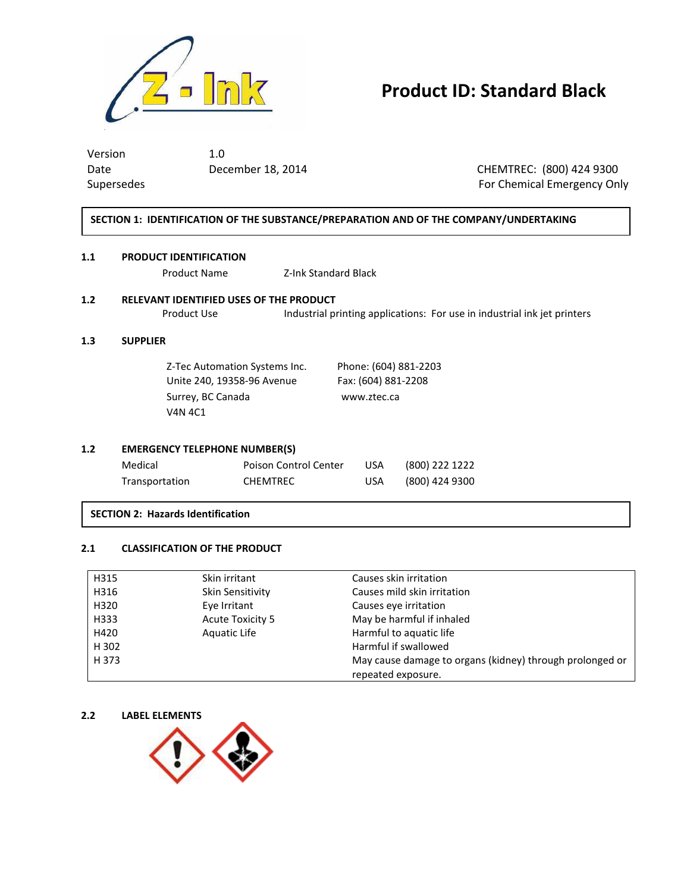

# **Product ID: Standard Black**

Version 1.0 Date December 18, 2014 CHEMTREC: (800) 424 9300 Supersedes For Chemical Emergency Only

### **SECTION 1: IDENTIFICATION OF THE SUBSTANCE/PREPARATION AND OF THE COMPANY/UNDERTAKING**

### **1.1 PRODUCT IDENTIFICATION**

Product Name Z-Ink Standard Black

## **1.2 RELEVANT IDENTIFIED USES OF THE PRODUCT**

Product Use Industrial printing applications: For use in industrial ink jet printers

### **1.3 SUPPLIER**

Z-Tec Automation Systems Inc. Phone: (604) 881-2203 Unite 240, 19358-96 Avenue Fax: (604) 881-2208 Surrey, BC Canada www.ztec.ca V4N 4C1

### **1.2 EMERGENCY TELEPHONE NUMBER(S)**

| Medical        | Poison Control Center | USA. | (800) 222 1222 |
|----------------|-----------------------|------|----------------|
| Transportation | <b>CHEMTREC</b>       | USA  | (800) 424 9300 |

### **SECTION 2: Hazards Identification**

### **2.1 CLASSIFICATION OF THE PRODUCT**

| H315  | Skin irritant           | Causes skin irritation                                   |
|-------|-------------------------|----------------------------------------------------------|
| H316  | Skin Sensitivity        | Causes mild skin irritation                              |
| H320  | Eye Irritant            | Causes eye irritation                                    |
| H333  | <b>Acute Toxicity 5</b> | May be harmful if inhaled                                |
| H420  | Aquatic Life            | Harmful to aquatic life                                  |
| H 302 |                         | Harmful if swallowed                                     |
| H 373 |                         | May cause damage to organs (kidney) through prolonged or |
|       |                         | repeated exposure.                                       |

### **2.2 LABEL ELEMENTS**

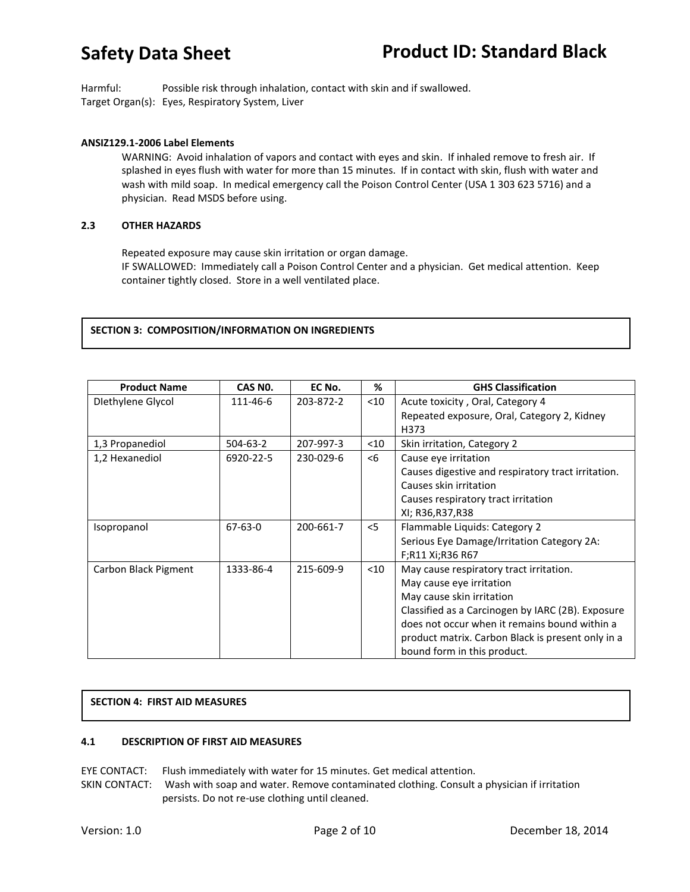# **Safety Data Sheet**

Harmful: Possible risk through inhalation, contact with skin and if swallowed. Target Organ(s): Eyes, Respiratory System, Liver

### **ANSIZ129.1-2006 Label Elements**

WARNING: Avoid inhalation of vapors and contact with eyes and skin. If inhaled remove to fresh air. If splashed in eyes flush with water for more than 15 minutes. If in contact with skin, flush with water and wash with mild soap. In medical emergency call the Poison Control Center (USA 1 303 623 5716) and a physician. Read MSDS before using.

### **2.3 OTHER HAZARDS**

Repeated exposure may cause skin irritation or organ damage. IF SWALLOWED: Immediately call a Poison Control Center and a physician. Get medical attention. Keep container tightly closed. Store in a well ventilated place.

### **SECTION 3: COMPOSITION/INFORMATION ON INGREDIENTS**

| <b>Product Name</b>  | CAS NO.        | EC No.    | %      | <b>GHS Classification</b>                          |
|----------------------|----------------|-----------|--------|----------------------------------------------------|
| Diethylene Glycol    | 111-46-6       | 203-872-2 | $<$ 10 | Acute toxicity, Oral, Category 4                   |
|                      |                |           |        | Repeated exposure, Oral, Category 2, Kidney        |
|                      |                |           |        | H373                                               |
| 1,3 Propanediol      | $504 - 63 - 2$ | 207-997-3 | $<$ 10 | Skin irritation, Category 2                        |
| 1,2 Hexanediol       | 6920-22-5      | 230-029-6 | $<$ 6  | Cause eye irritation                               |
|                      |                |           |        | Causes digestive and respiratory tract irritation. |
|                      |                |           |        | Causes skin irritation                             |
|                      |                |           |        | Causes respiratory tract irritation                |
|                      |                |           |        | XI; R36, R37, R38                                  |
| Isopropanol          | $67 - 63 - 0$  | 200-661-7 | $<$ 5  | Flammable Liquids: Category 2                      |
|                      |                |           |        | Serious Eye Damage/Irritation Category 2A:         |
|                      |                |           |        | F;R11 Xi;R36 R67                                   |
| Carbon Black Pigment | 1333-86-4      | 215-609-9 | $<$ 10 | May cause respiratory tract irritation.            |
|                      |                |           |        | May cause eye irritation                           |
|                      |                |           |        | May cause skin irritation                          |
|                      |                |           |        | Classified as a Carcinogen by IARC (2B). Exposure  |
|                      |                |           |        | does not occur when it remains bound within a      |
|                      |                |           |        | product matrix. Carbon Black is present only in a  |
|                      |                |           |        | bound form in this product.                        |

## **SECTION 4: FIRST AID MEASURES**

### **4.1 DESCRIPTION OF FIRST AID MEASURES**

EYE CONTACT: Flush immediately with water for 15 minutes. Get medical attention.

SKIN CONTACT: Wash with soap and water. Remove contaminated clothing. Consult a physician if irritation persists. Do not re-use clothing until cleaned.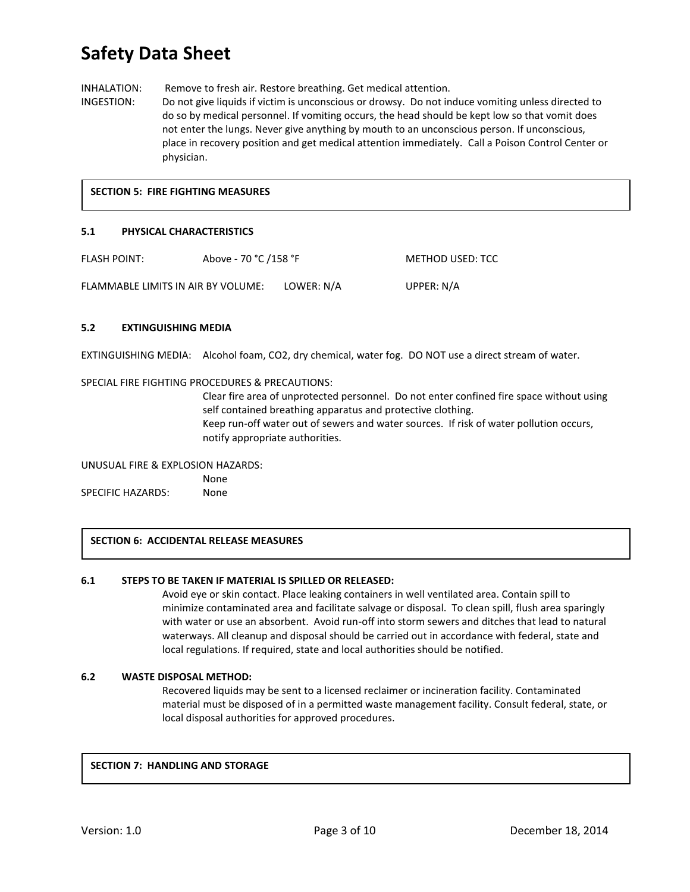# **Safety Data Sheet**

INHALATION: Remove to fresh air. Restore breathing. Get medical attention.

INGESTION: Do not give liquids if victim is unconscious or drowsy. Do not induce vomiting unless directed to do so by medical personnel. If vomiting occurs, the head should be kept low so that vomit does not enter the lungs. Never give anything by mouth to an unconscious person. If unconscious, place in recovery position and get medical attention immediately. Call a Poison Control Center or physician.

### **SECTION 5: FIRE FIGHTING MEASURES**

### **5.1 PHYSICAL CHARACTERISTICS**

| <b>FLASH POINT:</b>                | Above - 70 °C /158 °F |            | METHOD USED: TCC |
|------------------------------------|-----------------------|------------|------------------|
| FLAMMABLE LIMITS IN AIR BY VOLUME: |                       | LOWER: N/A | UPPER: N/A       |

### **5.2 EXTINGUISHING MEDIA**

EXTINGUISHING MEDIA: Alcohol foam, CO2, dry chemical, water fog. DO NOT use a direct stream of water.

### SPECIAL FIRE FIGHTING PROCEDURES & PRECAUTIONS:

Clear fire area of unprotected personnel. Do not enter confined fire space without using self contained breathing apparatus and protective clothing. Keep run-off water out of sewers and water sources. If risk of water pollution occurs, notify appropriate authorities.

UNUSUAL FIRE & EXPLOSION HAZARDS:

None SPECIFIC HAZARDS: None

### **SECTION 6: ACCIDENTAL RELEASE MEASURES**

### **6.1 STEPS TO BE TAKEN IF MATERIAL IS SPILLED OR RELEASED:**

Avoid eye or skin contact. Place leaking containers in well ventilated area. Contain spill to minimize contaminated area and facilitate salvage or disposal. To clean spill, flush area sparingly with water or use an absorbent. Avoid run-off into storm sewers and ditches that lead to natural waterways. All cleanup and disposal should be carried out in accordance with federal, state and local regulations. If required, state and local authorities should be notified.

### **6.2 WASTE DISPOSAL METHOD:**

Recovered liquids may be sent to a licensed reclaimer or incineration facility. Contaminated material must be disposed of in a permitted waste management facility. Consult federal, state, or local disposal authorities for approved procedures.

### **SECTION 7: HANDLING AND STORAGE**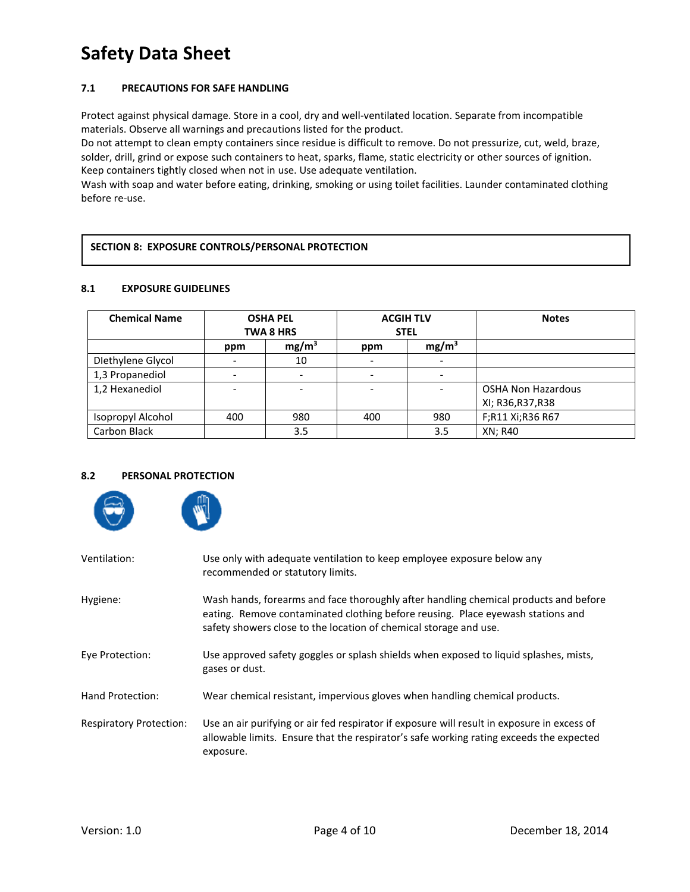# **Safety Data Sheet**

## **7.1 PRECAUTIONS FOR SAFE HANDLING**

Protect against physical damage. Store in a cool, dry and well-ventilated location. Separate from incompatible materials. Observe all warnings and precautions listed for the product.

Do not attempt to clean empty containers since residue is difficult to remove. Do not pressurize, cut, weld, braze, solder, drill, grind or expose such containers to heat, sparks, flame, static electricity or other sources of ignition. Keep containers tightly closed when not in use. Use adequate ventilation.

Wash with soap and water before eating, drinking, smoking or using toilet facilities. Launder contaminated clothing before re-use.

### **SECTION 8: EXPOSURE CONTROLS/PERSONAL PROTECTION**

### **8.1 EXPOSURE GUIDELINES**

| <b>Chemical Name</b> | <b>OSHA PEL</b> |                   | <b>ACGIH TLV</b> |                          | <b>Notes</b>              |
|----------------------|-----------------|-------------------|------------------|--------------------------|---------------------------|
|                      |                 | <b>TWA 8 HRS</b>  |                  | <b>STEL</b>              |                           |
|                      | ppm             | mg/m <sup>3</sup> | ppm              | mg/m <sup>3</sup>        |                           |
| Diethylene Glycol    |                 | 10                |                  | $\overline{\phantom{a}}$ |                           |
| 1,3 Propanediol      |                 |                   |                  |                          |                           |
| 1,2 Hexanediol       |                 |                   |                  |                          | <b>OSHA Non Hazardous</b> |
|                      |                 |                   |                  |                          | XI; R36, R37, R38         |
| Isopropyl Alcohol    | 400             | 980               | 400              | 980                      | F;R11 Xi;R36 R67          |
| Carbon Black         |                 | 3.5               |                  | 3.5                      | XN; R40                   |

### **8.2 PERSONAL PROTECTION**



| Ventilation:                   | Use only with adequate ventilation to keep employee exposure below any<br>recommended or statutory limits.                                                                                                                                   |
|--------------------------------|----------------------------------------------------------------------------------------------------------------------------------------------------------------------------------------------------------------------------------------------|
| Hygiene:                       | Wash hands, forearms and face thoroughly after handling chemical products and before<br>eating. Remove contaminated clothing before reusing. Place eyewash stations and<br>safety showers close to the location of chemical storage and use. |
| Eve Protection:                | Use approved safety goggles or splash shields when exposed to liquid splashes, mists,<br>gases or dust.                                                                                                                                      |
| Hand Protection:               | Wear chemical resistant, impervious gloves when handling chemical products.                                                                                                                                                                  |
| <b>Respiratory Protection:</b> | Use an air purifying or air fed respirator if exposure will result in exposure in excess of<br>allowable limits. Ensure that the respirator's safe working rating exceeds the expected<br>exposure.                                          |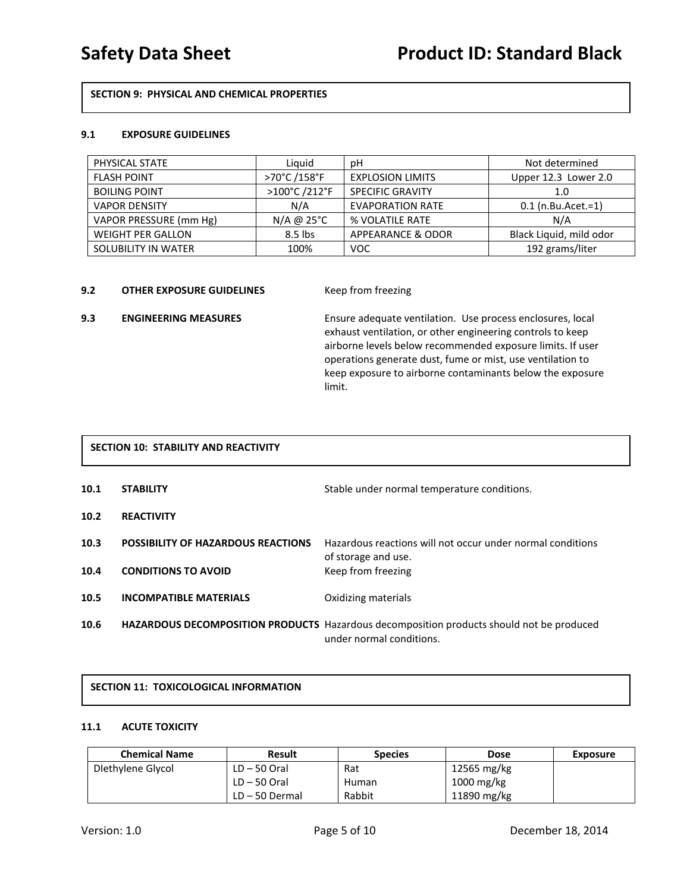## **SECTION 9: PHYSICAL AND CHEMICAL PROPERTIES**

### **9.1 EXPOSURE GUIDELINES**

| PHYSICAL STATE           | Liguid        | рH                      | Not determined          |
|--------------------------|---------------|-------------------------|-------------------------|
| <b>FLASH POINT</b>       | >70°C /158°F  | <b>EXPLOSION LIMITS</b> | Upper 12.3 Lower 2.0    |
| <b>BOILING POINT</b>     | >100°C /212°F | <b>SPECIFIC GRAVITY</b> | 1.0                     |
| <b>VAPOR DENSITY</b>     | N/A           | <b>EVAPORATION RATE</b> | $0.1$ (n.Bu.Acet.=1)    |
| VAPOR PRESSURE (mm Hg)   | $N/A$ @ 25°C  | % VOLATILE RATE         | N/A                     |
| <b>WEIGHT PER GALLON</b> | $8.5$ lbs     | APPEARANCE & ODOR       | Black Liquid, mild odor |
| SOLUBILITY IN WATER      | 100%          | <b>VOC</b>              | 192 grams/liter         |

### **9.2 OTHER EXPOSURE GUIDELINES Keep from freezing**

**9.3 ENGINEERING MEASURES** Ensure adequate ventilation. Use process enclosures, local exhaust ventilation, or other engineering controls to keep airborne levels below recommended exposure limits. If user operations generate dust, fume or mist, use ventilation to keep exposure to airborne contaminants below the exposure limit.

# **SECTION 10: STABILITY AND REACTIVITY**

| 10.1 | <b>STABILITY</b>                          | Stable under normal temperature conditions.                                                     |
|------|-------------------------------------------|-------------------------------------------------------------------------------------------------|
| 10.2 | <b>REACTIVITY</b>                         |                                                                                                 |
| 10.3 | <b>POSSIBILITY OF HAZARDOUS REACTIONS</b> | Hazardous reactions will not occur under normal conditions<br>of storage and use.               |
| 10.4 | <b>CONDITIONS TO AVOID</b>                | Keep from freezing                                                                              |
| 10.5 | <b>INCOMPATIBLE MATERIALS</b>             | Oxidizing materials                                                                             |
| 10.6 |                                           | <b>HAZARDOUS DECOMPOSITION PRODUCTS</b> Hazardous decomposition products should not be produced |

# **SECTION 11: TOXICOLOGICAL INFORMATION**

### **11.1 ACUTE TOXICITY**

| <b>Chemical Name</b> | <b>Result</b>    | <b>Species</b> | <b>Dose</b> | <b>Exposure</b> |
|----------------------|------------------|----------------|-------------|-----------------|
| Diethylene Glycol    | $LD - 50$ Oral   | Rat            | 12565 mg/kg |                 |
|                      | $LD - 50$ Oral   | Human          | 1000 mg/kg  |                 |
|                      | $LD - 50$ Dermal | Rabbit         | 11890 mg/kg |                 |

under normal conditions.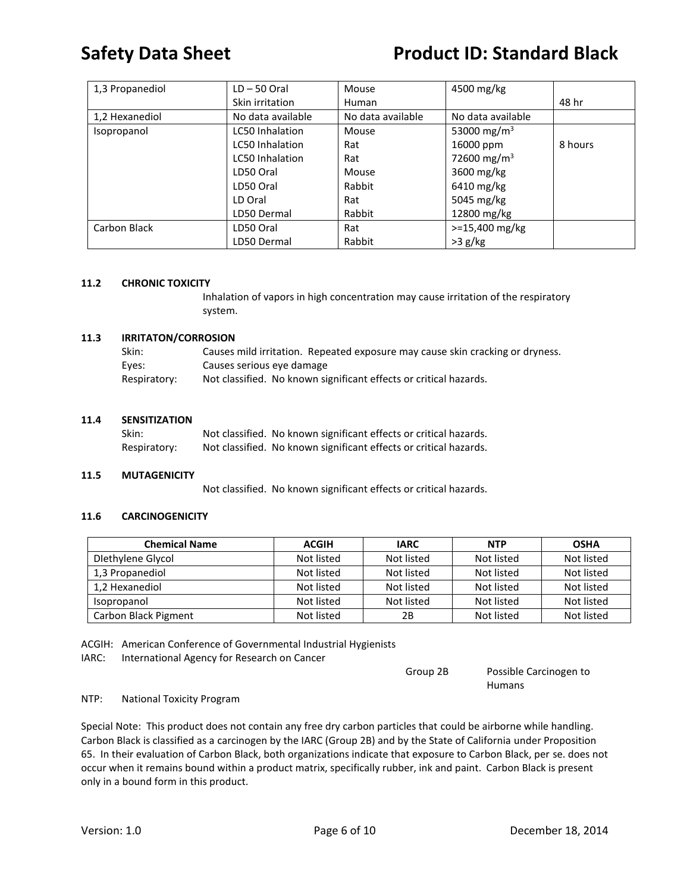# **Safety Data Sheet Product ID: Standard Black**

| 1,3 Propanediol | $LD - 50$ Oral         | Mouse             | 4500 mg/kg              |         |
|-----------------|------------------------|-------------------|-------------------------|---------|
|                 | Skin irritation        | Human             |                         | 48 hr   |
| 1,2 Hexanediol  | No data available      | No data available | No data available       |         |
| Isopropanol     | LC50 Inhalation        | Mouse             | 53000 mg/m <sup>3</sup> |         |
|                 | <b>LC50</b> Inhalation | Rat               | 16000 ppm               | 8 hours |
|                 | <b>LC50 Inhalation</b> | Rat               | 72600 mg/m <sup>3</sup> |         |
|                 | LD50 Oral              | Mouse             | 3600 mg/kg              |         |
|                 | LD50 Oral              | Rabbit            | 6410 mg/kg              |         |
|                 | LD Oral                | Rat               | 5045 mg/kg              |         |
|                 | LD50 Dermal            | Rabbit            | 12800 mg/kg             |         |
| Carbon Black    | LD50 Oral              | Rat               | $> = 15,400$ mg/kg      |         |
|                 | LD50 Dermal            | Rabbit            | $>3$ g/kg               |         |

### **11.2 CHRONIC TOXICITY**

Inhalation of vapors in high concentration may cause irritation of the respiratory system.

### **11.3 IRRITATON/CORROSION**

| Skin:        | Causes mild irritation. Repeated exposure may cause skin cracking or dryness. |
|--------------|-------------------------------------------------------------------------------|
| Eves:        | Causes serious eye damage                                                     |
| Respiratory: | Not classified. No known significant effects or critical hazards.             |

### **11.4 SENSITIZATION**

| Skin:        | Not classified. No known significant effects or critical hazards. |
|--------------|-------------------------------------------------------------------|
| Respiratory: | Not classified. No known significant effects or critical hazards. |

### **11.5 MUTAGENICITY**

Not classified. No known significant effects or critical hazards.

### **11.6 CARCINOGENICITY**

| <b>Chemical Name</b> | <b>ACGIH</b> | <b>IARC</b> | <b>NTP</b> | <b>OSHA</b> |
|----------------------|--------------|-------------|------------|-------------|
| Diethylene Glycol    | Not listed   | Not listed  | Not listed | Not listed  |
| 1,3 Propanediol      | Not listed   | Not listed  | Not listed | Not listed  |
| 1,2 Hexanediol       | Not listed   | Not listed  | Not listed | Not listed  |
| Isopropanol          | Not listed   | Not listed  | Not listed | Not listed  |
| Carbon Black Pigment | Not listed   | 2Β          | Not listed | Not listed  |

ACGIH: American Conference of Governmental Industrial Hygienists

IARC: International Agency for Research on Cancer

Group 2B Possible Carcinogen to Humans

### NTP: National Toxicity Program

Special Note: This product does not contain any free dry carbon particles that could be airborne while handling. Carbon Black is classified as a carcinogen by the IARC (Group 2B) and by the State of California under Proposition 65. In their evaluation of Carbon Black, both organizations indicate that exposure to Carbon Black, per se. does not occur when it remains bound within a product matrix, specifically rubber, ink and paint. Carbon Black is present only in a bound form in this product.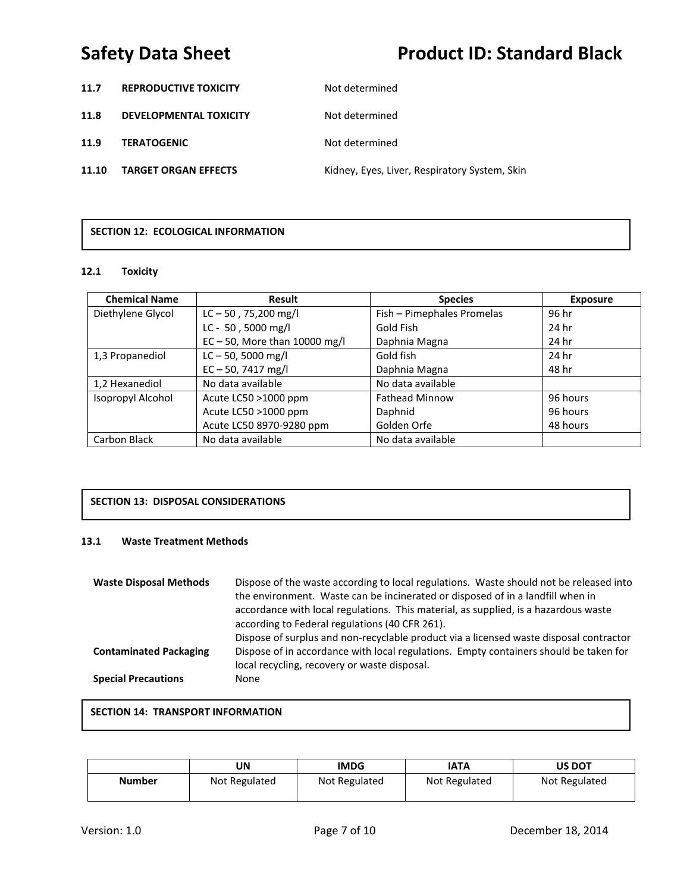# **Safety Data Sheet Product ID: Standard Black**

- **11.7 REPRODUCTIVE TOXICITY** Not determined
- **11.8 DEVELOPMENTAL TOXICITY** Not determined

**11.9 TERATOGENIC** Not determined

11.10 TARGET ORGAN EFFECTS **Kidney, Eyes, Liver, Respiratory System**, Skin

# **SECTION 12: ECOLOGICAL INFORMATION**

### **12.1 Toxicity**

| <b>Chemical Name</b> | <b>Result</b>                    | <b>Species</b>             | <b>Exposure</b> |
|----------------------|----------------------------------|----------------------------|-----------------|
| Diethylene Glycol    | $LC - 50$ , 75,200 mg/l          | Fish - Pimephales Promelas | 96 hr           |
|                      | LC - 50, 5000 mg/l               | Gold Fish                  | 24 hr           |
|                      | $EC - 50$ , More than 10000 mg/l | Daphnia Magna              | 24 hr           |
| 1,3 Propanediol      | $LC - 50$ , 5000 mg/l            | Gold fish                  | 24 hr           |
|                      | $EC - 50$ , 7417 mg/l            | Daphnia Magna              | 48 hr           |
| 1,2 Hexanediol       | No data available                | No data available          |                 |
| Isopropyl Alcohol    | Acute LC50 >1000 ppm             | <b>Fathead Minnow</b>      | 96 hours        |
|                      | Acute LC50 >1000 ppm             | Daphnid                    | 96 hours        |
|                      | Acute LC50 8970-9280 ppm         | Golden Orfe                | 48 hours        |
| Carbon Black         | No data available                | No data available          |                 |

# **SECTION 13: DISPOSAL CONSIDERATIONS**

### **13.1 Waste Treatment Methods**

| <b>Waste Disposal Methods</b> | Dispose of the waste according to local regulations. Waste should not be released into<br>the environment. Waste can be incinerated or disposed of in a landfill when in<br>accordance with local regulations. This material, as supplied, is a hazardous waste<br>according to Federal regulations (40 CFR 261).<br>Dispose of surplus and non-recyclable product via a licensed waste disposal contractor |
|-------------------------------|-------------------------------------------------------------------------------------------------------------------------------------------------------------------------------------------------------------------------------------------------------------------------------------------------------------------------------------------------------------------------------------------------------------|
| <b>Contaminated Packaging</b> | Dispose of in accordance with local regulations. Empty containers should be taken for<br>local recycling, recovery or waste disposal.                                                                                                                                                                                                                                                                       |
| <b>Special Precautions</b>    | None                                                                                                                                                                                                                                                                                                                                                                                                        |

## **SECTION 14: TRANSPORT INFORMATION**

|               | JN            | IMDG          | IATA          | <b>US DOT</b> |
|---------------|---------------|---------------|---------------|---------------|
| <b>Number</b> | Not Regulated | Not Regulated | Not Regulated | Not Regulated |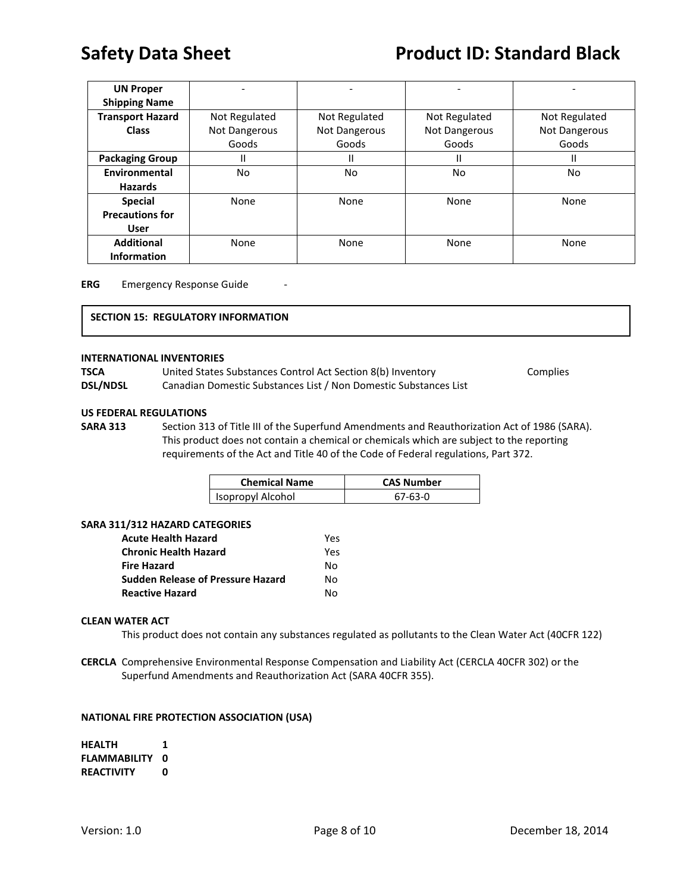| <b>UN Proper</b>        |               |               |               |               |
|-------------------------|---------------|---------------|---------------|---------------|
| <b>Shipping Name</b>    |               |               |               |               |
| <b>Transport Hazard</b> | Not Regulated | Not Regulated | Not Regulated | Not Regulated |
| <b>Class</b>            | Not Dangerous | Not Dangerous | Not Dangerous | Not Dangerous |
|                         | Goods         | Goods         | Goods         | Goods         |
| <b>Packaging Group</b>  | Ш             | II            | Ш             | $\mathsf{I}$  |
| Environmental           | No.           | No.           | No            | No            |
| <b>Hazards</b>          |               |               |               |               |
| <b>Special</b>          | None          | None          | None          | None          |
| <b>Precautions for</b>  |               |               |               |               |
| <b>User</b>             |               |               |               |               |
| <b>Additional</b>       | None          | None          | None          | None          |
| <b>Information</b>      |               |               |               |               |

**ERG** Emergency Response Guide

### **SECTION 15: REGULATORY INFORMATION**

### **INTERNATIONAL INVENTORIES**

| TSCA            | United States Substances Control Act Section 8(b) Inventory      | Complies |
|-----------------|------------------------------------------------------------------|----------|
| <b>DSL/NDSL</b> | Canadian Domestic Substances List / Non Domestic Substances List |          |

### **US FEDERAL REGULATIONS**

**SARA 313** Section 313 of Title III of the Superfund Amendments and Reauthorization Act of 1986 (SARA). This product does not contain a chemical or chemicals which are subject to the reporting requirements of the Act and Title 40 of the Code of Federal regulations, Part 372.

| <b>Chemical Name</b> | <b>CAS Number</b> |
|----------------------|-------------------|
| Isopropyl Alcohol    | $67-63-0$         |

### **SARA 311/312 HAZARD CATEGORIES**

| Acute Health Hazard               | Yes |
|-----------------------------------|-----|
| Chronic Health Hazard             | Yes |
| Fire Hazard                       | N٥  |
| Sudden Release of Pressure Hazard | N٥  |
| <b>Reactive Hazard</b>            | N٥  |

### **CLEAN WATER ACT**

This product does not contain any substances regulated as pollutants to the Clean Water Act (40CFR 122)

**CERCLA** Comprehensive Environmental Response Compensation and Liability Act (CERCLA 40CFR 302) or the Superfund Amendments and Reauthorization Act (SARA 40CFR 355).

### **NATIONAL FIRE PROTECTION ASSOCIATION (USA)**

| <b>HEALTH</b>       | 1 |
|---------------------|---|
| <b>FLAMMABILITY</b> | O |
| <b>REACTIVITY</b>   | Ω |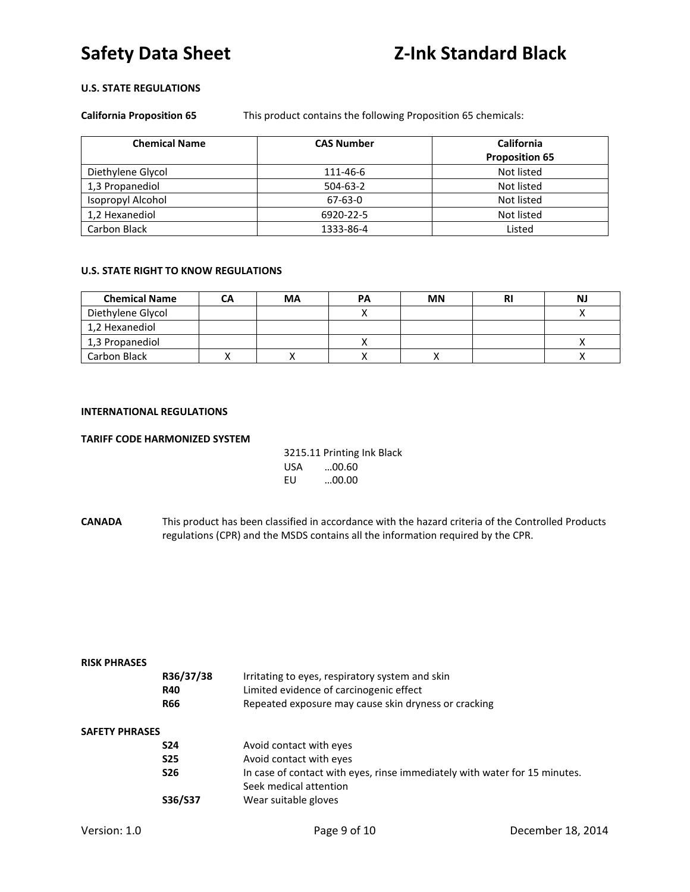# **U.S. STATE REGULATIONS**

**California Proposition 65** This product contains the following Proposition 65 chemicals:

| <b>Chemical Name</b> | <b>CAS Number</b> | <b>California</b>     |
|----------------------|-------------------|-----------------------|
|                      |                   | <b>Proposition 65</b> |
| Diethylene Glycol    | 111-46-6          | Not listed            |
| 1,3 Propanediol      | $504-63-2$        | Not listed            |
| Isopropyl Alcohol    | $67 - 63 - 0$     | Not listed            |
| 1,2 Hexanediol       | 6920-22-5         | Not listed            |
| Carbon Black         | 1333-86-4         | Listed                |

### **U.S. STATE RIGHT TO KNOW REGULATIONS**

| <b>Chemical Name</b> | CА | МA | PА | <b>MN</b> | NJ |
|----------------------|----|----|----|-----------|----|
| Diethylene Glycol    |    |    |    |           |    |
| 1,2 Hexanediol       |    |    |    |           |    |
| 1,3 Propanediol      |    |    |    |           |    |
| Carbon Black         |    |    |    |           |    |

## **INTERNATIONAL REGULATIONS**

### **TARIFF CODE HARMONIZED SYSTEM**

| 3215.11 Printing Ink Black |       |  |
|----------------------------|-------|--|
| USA                        | 00.60 |  |
| FU                         | 00.00 |  |

**CANADA** This product has been classified in accordance with the hazard criteria of the Controlled Products regulations (CPR) and the MSDS contains all the information required by the CPR.

| <b>RISK PHRASES</b>   |            |                                                                            |
|-----------------------|------------|----------------------------------------------------------------------------|
|                       | R36/37/38  | Irritating to eyes, respiratory system and skin                            |
|                       | <b>R40</b> | Limited evidence of carcinogenic effect                                    |
|                       | <b>R66</b> | Repeated exposure may cause skin dryness or cracking                       |
| <b>SAFETY PHRASES</b> |            |                                                                            |
|                       | <b>S24</b> | Avoid contact with eyes                                                    |
|                       | <b>S25</b> | Avoid contact with eyes                                                    |
|                       | <b>S26</b> | In case of contact with eyes, rinse immediately with water for 15 minutes. |
|                       |            | Seek medical attention                                                     |
|                       | S36/S37    | Wear suitable gloves                                                       |
|                       |            |                                                                            |